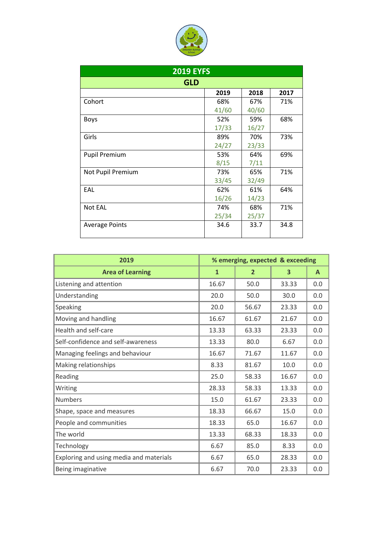

| <b>2019 EYFS</b>      |       |       |      |  |  |  |
|-----------------------|-------|-------|------|--|--|--|
| <b>GLD</b>            |       |       |      |  |  |  |
|                       | 2019  | 2018  | 2017 |  |  |  |
| Cohort                | 68%   | 67%   | 71%  |  |  |  |
|                       | 41/60 | 40/60 |      |  |  |  |
| <b>Boys</b>           | 52%   | 59%   | 68%  |  |  |  |
|                       | 17/33 | 16/27 |      |  |  |  |
| Girls                 | 89%   | 70%   | 73%  |  |  |  |
|                       | 24/27 | 23/33 |      |  |  |  |
| <b>Pupil Premium</b>  | 53%   | 64%   | 69%  |  |  |  |
|                       | 8/15  | 7/11  |      |  |  |  |
| Not Pupil Premium     | 73%   | 65%   | 71%  |  |  |  |
|                       | 33/45 | 32/49 |      |  |  |  |
| EAL                   | 62%   | 61%   | 64%  |  |  |  |
|                       | 16/26 | 14/23 |      |  |  |  |
| Not EAL               | 74%   | 68%   | 71%  |  |  |  |
|                       | 25/34 | 25/37 |      |  |  |  |
| <b>Average Points</b> | 34.6  | 33.7  | 34.8 |  |  |  |

| 2019                                    | % emerging, expected & exceeding |                |       |     |
|-----------------------------------------|----------------------------------|----------------|-------|-----|
| <b>Area of Learning</b>                 | $\mathbf{1}$                     | $\overline{2}$ | 3     | A   |
| Listening and attention                 | 16.67                            | 50.0           | 33.33 | 0.0 |
| Understanding                           | 20.0                             | 50.0           | 30.0  | 0.0 |
| Speaking                                | 20.0                             | 56.67          | 23.33 | 0.0 |
| Moving and handling                     | 16.67                            | 61.67          | 21.67 | 0.0 |
| Health and self-care                    | 13.33                            | 63.33          | 23.33 | 0.0 |
| Self-confidence and self-awareness      | 13.33                            | 80.0           | 6.67  | 0.0 |
| Managing feelings and behaviour         | 16.67                            | 71.67          | 11.67 | 0.0 |
| Making relationships                    | 8.33                             | 81.67          | 10.0  | 0.0 |
| Reading                                 | 25.0                             | 58.33          | 16.67 | 0.0 |
| Writing                                 | 28.33                            | 58.33          | 13.33 | 0.0 |
| <b>Numbers</b>                          | 15.0                             | 61.67          | 23.33 | 0.0 |
| Shape, space and measures               | 18.33                            | 66.67          | 15.0  | 0.0 |
| People and communities                  | 18.33                            | 65.0           | 16.67 | 0.0 |
| The world                               | 13.33                            | 68.33          | 18.33 | 0.0 |
| Technology                              | 6.67                             | 85.0           | 8.33  | 0.0 |
| Exploring and using media and materials | 6.67                             | 65.0           | 28.33 | 0.0 |
| Being imaginative                       | 6.67                             | 70.0           | 23.33 | 0.0 |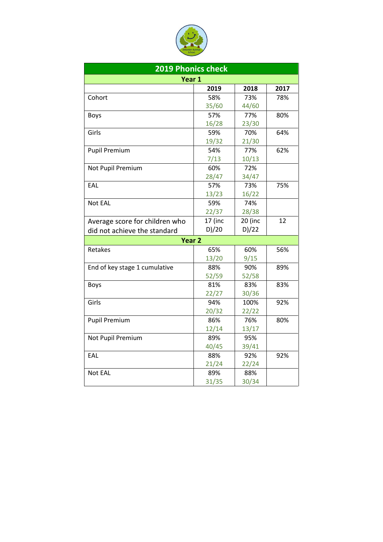

| <b>2019 Phonics check</b>      |         |         |      |  |  |  |
|--------------------------------|---------|---------|------|--|--|--|
| Year 1                         |         |         |      |  |  |  |
|                                | 2019    | 2018    | 2017 |  |  |  |
| Cohort                         | 58%     | 73%     | 78%  |  |  |  |
|                                | 35/60   | 44/60   |      |  |  |  |
| <b>Boys</b>                    | 57%     | 77%     | 80%  |  |  |  |
|                                | 16/28   | 23/30   |      |  |  |  |
| Girls                          | 59%     | 70%     | 64%  |  |  |  |
|                                | 19/32   | 21/30   |      |  |  |  |
| <b>Pupil Premium</b>           | 54%     | 77%     | 62%  |  |  |  |
|                                | 7/13    | 10/13   |      |  |  |  |
| Not Pupil Premium              | 60%     | 72%     |      |  |  |  |
|                                | 28/47   | 34/47   |      |  |  |  |
| EAL                            | 57%     | 73%     | 75%  |  |  |  |
|                                | 13/23   | 16/22   |      |  |  |  |
| Not EAL                        | 59%     | 74%     |      |  |  |  |
|                                | 22/37   | 28/38   |      |  |  |  |
| Average score for children who | 17 (inc | 20 (inc | 12   |  |  |  |
| did not achieve the standard   | D)/20   | D)/22   |      |  |  |  |
| Year <sub>2</sub>              |         |         |      |  |  |  |
| Retakes                        | 65%     | 60%     | 56%  |  |  |  |
|                                | 13/20   | 9/15    |      |  |  |  |
| End of key stage 1 cumulative  | 88%     | 90%     | 89%  |  |  |  |
|                                | 52/59   | 52/58   |      |  |  |  |
| <b>Boys</b>                    | 81%     | 83%     | 83%  |  |  |  |
|                                | 22/27   | 30/36   |      |  |  |  |
| Girls                          | 94%     | 100%    | 92%  |  |  |  |
|                                | 20/32   | 22/22   |      |  |  |  |
| <b>Pupil Premium</b>           | 86%     | 76%     | 80%  |  |  |  |
|                                | 12/14   | 13/17   |      |  |  |  |
| Not Pupil Premium              | 89%     | 95%     |      |  |  |  |
|                                | 40/45   | 39/41   |      |  |  |  |
| EAL                            | 88%     | 92%     | 92%  |  |  |  |
|                                | 21/24   | 22/24   |      |  |  |  |
| Not EAL                        | 89%     | 88%     |      |  |  |  |
|                                | 31/35   | 30/34   |      |  |  |  |